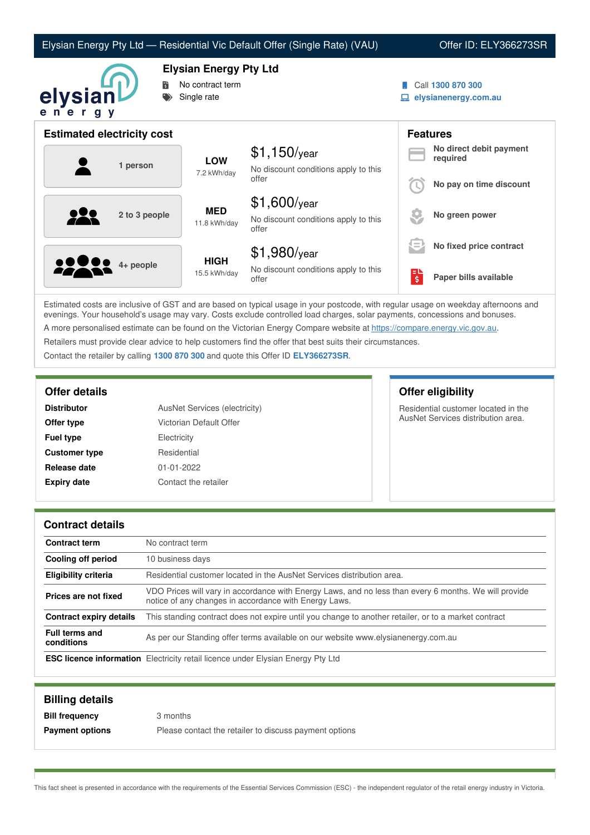## Elysian Energy Pty Ltd — Residential Vic Default Offer (Single Rate) (VAU) Offer ID: ELY366273SR



**Elysian Energy Pty Ltd**

- No contract term
- Single rate
- Call **1300 870 300**
- **elysianenergy.com.au**

| <b>Estimated electricity cost</b> |                             |                                                                 | <b>Features</b> |                                     |
|-----------------------------------|-----------------------------|-----------------------------------------------------------------|-----------------|-------------------------------------|
| 1 person                          | <b>LOW</b><br>7.2 kWh/day   | $$1,150$ /year<br>No discount conditions apply to this          |                 | No direct debit payment<br>required |
|                                   |                             | offer                                                           |                 | No pay on time discount             |
| <u>929</u><br>2 to 3 people       | <b>MED</b><br>11.8 kWh/day  | $$1,600$ /year<br>No discount conditions apply to this<br>offer |                 | No green power                      |
|                                   |                             | $$1,980$ /year                                                  | l =             | No fixed price contract             |
| <b>00000</b> 4+ people            | <b>HIGH</b><br>15.5 kWh/day | No discount conditions apply to this<br>offer                   | 팋               | Paper bills available               |

Estimated costs are inclusive of GST and are based on typical usage in your postcode, with regular usage on weekday afternoons and evenings. Your household's usage may vary. Costs exclude controlled load charges, solar payments, concessions and bonuses. A more personalised estimate can be found on the Victorian Energy Compare website at <https://compare.energy.vic.gov.au>.

Retailers must provide clear advice to help customers find the offer that best suits their circumstances.

Contact the retailer by calling **1300 870 300** and quote this Offer ID **ELY366273SR**.

| <b>Distributor</b>   | AusNet Services (electricity) |
|----------------------|-------------------------------|
| Offer type           | Victorian Default Offer       |
| <b>Fuel type</b>     | Electricity                   |
| <b>Customer type</b> | Residential                   |
| Release date         | $01 - 01 - 2022$              |
| <b>Expiry date</b>   | Contact the retailer          |

**Offer details Offer eligibility**

Residential customer located in the AusNet Services distribution area.

### **Contract details**

| <b>Contract term</b>                | No contract term                                                                                                                                               |  |
|-------------------------------------|----------------------------------------------------------------------------------------------------------------------------------------------------------------|--|
| Cooling off period                  | 10 business days                                                                                                                                               |  |
| <b>Eligibility criteria</b>         | Residential customer located in the AusNet Services distribution area.                                                                                         |  |
| Prices are not fixed                | VDO Prices will vary in accordance with Energy Laws, and no less than every 6 months. We will provide<br>notice of any changes in accordance with Energy Laws. |  |
| Contract expiry details             | This standing contract does not expire until you change to another retailer, or to a market contract                                                           |  |
| <b>Full terms and</b><br>conditions | As per our Standing offer terms available on our website www.elysianenergy.com.au                                                                              |  |
|                                     | <b>ESC licence information</b> Electricity retail licence under Elysian Energy Pty Ltd                                                                         |  |

| <b>Billing details</b> |                                                        |
|------------------------|--------------------------------------------------------|
| <b>Bill frequency</b>  | 3 months                                               |
| <b>Payment options</b> | Please contact the retailer to discuss payment options |